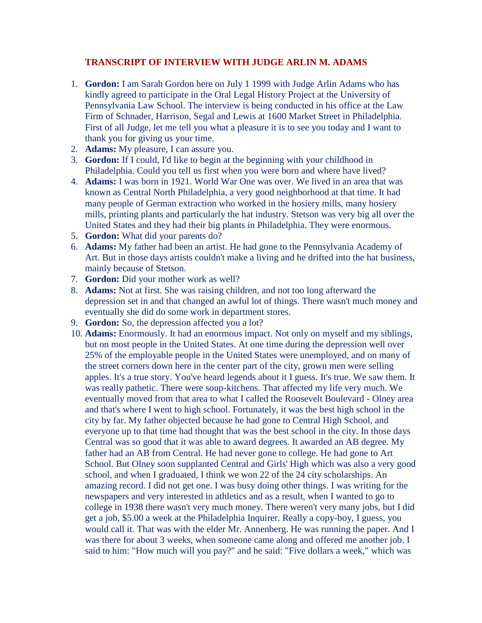## **TRANSCRIPT OF INTERVIEW WITH JUDGE ARLIN M. ADAMS**

- 1. **Gordon:** I am Sarah Gordon here on July 1 1999 with Judge Arlin Adams who has kindly agreed to participate in the Oral Legal History Project at the University of Pennsylvania Law School. The interview is being conducted in his office at the Law Firm of Schnader, Harrison, Segal and Lewis at 1600 Market Street in Philadelphia. First of all Judge, let me tell you what a pleasure it is to see you today and I want to thank you for giving us your time.
- 2. **Adams:** My pleasure, I can assure you.
- 3. **Gordon:** If I could, I'd like to begin at the beginning with your childhood in Philadelphia. Could you tell us first when you were born and where have lived?
- 4. **Adams:** I was born in 1921. World War One was over. We lived in an area that was known as Central North Philadelphia, a very good neighborhood at that time. It had many people of German extraction who worked in the hosiery mills, many hosiery mills, printing plants and particularly the hat industry. Stetson was very big all over the United States and they had their big plants in Philadelphia. They were enormous.
- 5. **Gordon:** What did your parents do?
- 6. **Adams:** My father had been an artist. He had gone to the Pennsylvania Academy of Art. But in those days artists couldn't make a living and he drifted into the hat business, mainly because of Stetson.
- 7. **Gordon:** Did your mother work as well?
- 8. **Adams:** Not at first. She was raising children, and not too long afterward the depression set in and that changed an awful lot of things. There wasn't much money and eventually she did do some work in department stores.
- 9. **Gordon:** So, the depression affected you a lot?
- 10. **Adams:** Enormously. It had an enormous impact. Not only on myself and my siblings, but on most people in the United States. At one time during the depression well over 25% of the employable people in the United States were unemployed, and on many of the street corners down here in the center part of the city, grown men were selling apples. It's a true story. You've heard legends about it I guess. It's true. We saw them. It was really pathetic. There were soup-kitchens. That affected my life very much. We eventually moved from that area to what I called the Roosevelt Boulevard - Olney area and that's where I went to high school. Fortunately, it was the best high school in the city by far. My father objected because he had gone to Central High School, and everyone up to that time had thought that was the best school in the city. In those days Central was so good that it was able to award degrees. It awarded an AB degree. My father had an AB from Central. He had never gone to college. He had gone to Art School. But Olney soon supplanted Central and Girls' High which was also a very good school, and when I graduated, I think we won 22 of the 24 city scholarships. An amazing record. I did not get one. I was busy doing other things. I was writing for the newspapers and very interested in athletics and as a result, when I wanted to go to college in 1938 there wasn't very much money. There weren't very many jobs, but I did get a job, \$5.00 a week at the Philadelphia Inquirer. Really a copy-boy, I guess, you would call it. That was with the elder Mr. Annenberg. He was running the paper. And I was there for about 3 weeks, when someone came along and offered me another job. I said to him: "How much will you pay?" and he said: "Five dollars a week," which was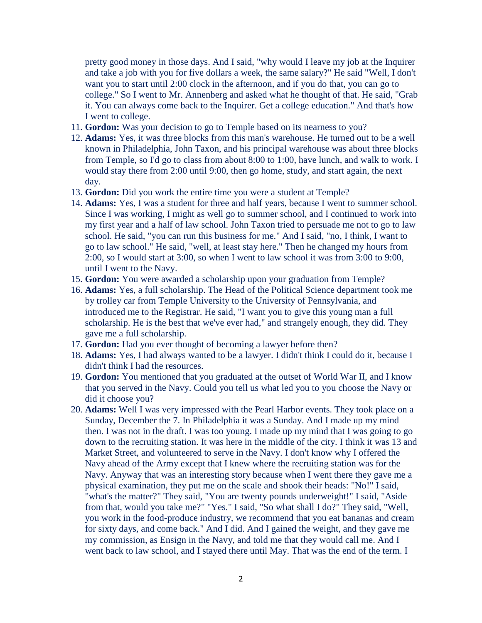pretty good money in those days. And I said, "why would I leave my job at the Inquirer and take a job with you for five dollars a week, the same salary?" He said "Well, I don't want you to start until 2:00 clock in the afternoon, and if you do that, you can go to college." So I went to Mr. Annenberg and asked what he thought of that. He said, "Grab it. You can always come back to the Inquirer. Get a college education." And that's how I went to college.

- 11. **Gordon:** Was your decision to go to Temple based on its nearness to you?
- 12. **Adams:** Yes, it was three blocks from this man's warehouse. He turned out to be a well known in Philadelphia, John Taxon, and his principal warehouse was about three blocks from Temple, so I'd go to class from about 8:00 to 1:00, have lunch, and walk to work. I would stay there from 2:00 until 9:00, then go home, study, and start again, the next day.
- 13. **Gordon:** Did you work the entire time you were a student at Temple?
- 14. **Adams:** Yes, I was a student for three and half years, because I went to summer school. Since I was working, I might as well go to summer school, and I continued to work into my first year and a half of law school. John Taxon tried to persuade me not to go to law school. He said, "you can run this business for me." And I said, "no, I think, I want to go to law school." He said, "well, at least stay here." Then he changed my hours from 2:00, so I would start at 3:00, so when I went to law school it was from 3:00 to 9:00, until I went to the Navy.
- 15. **Gordon:** You were awarded a scholarship upon your graduation from Temple?
- 16. **Adams:** Yes, a full scholarship. The Head of the Political Science department took me by trolley car from Temple University to the University of Pennsylvania, and introduced me to the Registrar. He said, "I want you to give this young man a full scholarship. He is the best that we've ever had," and strangely enough, they did. They gave me a full scholarship.
- 17. **Gordon:** Had you ever thought of becoming a lawyer before then?
- 18. **Adams:** Yes, I had always wanted to be a lawyer. I didn't think I could do it, because I didn't think I had the resources.
- 19. **Gordon:** You mentioned that you graduated at the outset of World War II, and I know that you served in the Navy. Could you tell us what led you to you choose the Navy or did it choose you?
- 20. **Adams:** Well I was very impressed with the Pearl Harbor events. They took place on a Sunday, December the 7. In Philadelphia it was a Sunday. And I made up my mind then. I was not in the draft. I was too young. I made up my mind that I was going to go down to the recruiting station. It was here in the middle of the city. I think it was 13 and Market Street, and volunteered to serve in the Navy. I don't know why I offered the Navy ahead of the Army except that I knew where the recruiting station was for the Navy. Anyway that was an interesting story because when I went there they gave me a physical examination, they put me on the scale and shook their heads: "No!" I said, "what's the matter?" They said, "You are twenty pounds underweight!" I said, "Aside from that, would you take me?" "Yes." I said, "So what shall I do?" They said, "Well, you work in the food-produce industry, we recommend that you eat bananas and cream for sixty days, and come back." And I did. And I gained the weight, and they gave me my commission, as Ensign in the Navy, and told me that they would call me. And I went back to law school, and I stayed there until May. That was the end of the term. I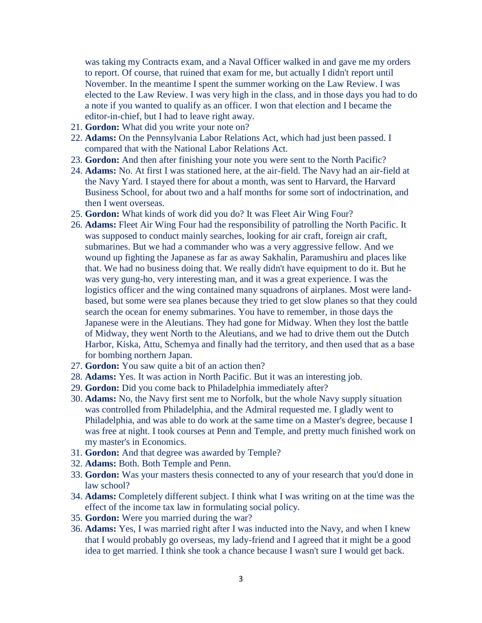was taking my Contracts exam, and a Naval Officer walked in and gave me my orders to report. Of course, that ruined that exam for me, but actually I didn't report until November. In the meantime I spent the summer working on the Law Review. I was elected to the Law Review. I was very high in the class, and in those days you had to do a note if you wanted to qualify as an officer. I won that election and I became the editor-in-chief, but I had to leave right away.

- 21. **Gordon:** What did you write your note on?
- 22. **Adams:** On the Pennsylvania Labor Relations Act, which had just been passed. I compared that with the National Labor Relations Act.
- 23. **Gordon:** And then after finishing your note you were sent to the North Pacific?
- 24. **Adams:** No. At first I was stationed here, at the air-field. The Navy had an air-field at the Navy Yard. I stayed there for about a month, was sent to Harvard, the Harvard Business School, for about two and a half months for some sort of indoctrination, and then I went overseas.
- 25. **Gordon:** What kinds of work did you do? It was Fleet Air Wing Four?
- 26. **Adams:** Fleet Air Wing Four had the responsibility of patrolling the North Pacific. It was supposed to conduct mainly searches, looking for air craft, foreign air craft, submarines. But we had a commander who was a very aggressive fellow. And we wound up fighting the Japanese as far as away Sakhalin, Paramushiru and places like that. We had no business doing that. We really didn't have equipment to do it. But he was very gung-ho, very interesting man, and it was a great experience. I was the logistics officer and the wing contained many squadrons of airplanes. Most were landbased, but some were sea planes because they tried to get slow planes so that they could search the ocean for enemy submarines. You have to remember, in those days the Japanese were in the Aleutians. They had gone for Midway. When they lost the battle of Midway, they went North to the Aleutians, and we had to drive them out the Dutch Harbor, Kiska, Attu, Schemya and finally had the territory, and then used that as a base for bombing northern Japan.
- 27. **Gordon:** You saw quite a bit of an action then?
- 28. **Adams:** Yes. It was action in North Pacific. But it was an interesting job.
- 29. **Gordon:** Did you come back to Philadelphia immediately after?
- 30. **Adams:** No, the Navy first sent me to Norfolk, but the whole Navy supply situation was controlled from Philadelphia, and the Admiral requested me. I gladly went to Philadelphia, and was able to do work at the same time on a Master's degree, because I was free at night. I took courses at Penn and Temple, and pretty much finished work on my master's in Economics.
- 31. **Gordon:** And that degree was awarded by Temple?
- 32. **Adams:** Both. Both Temple and Penn.
- 33. **Gordon:** Was your masters thesis connected to any of your research that you'd done in law school?
- 34. **Adams:** Completely different subject. I think what I was writing on at the time was the effect of the income tax law in formulating social policy.
- 35. **Gordon:** Were you married during the war?
- 36. **Adams:** Yes, I was married right after I was inducted into the Navy, and when I knew that I would probably go overseas, my lady-friend and I agreed that it might be a good idea to get married. I think she took a chance because I wasn't sure I would get back.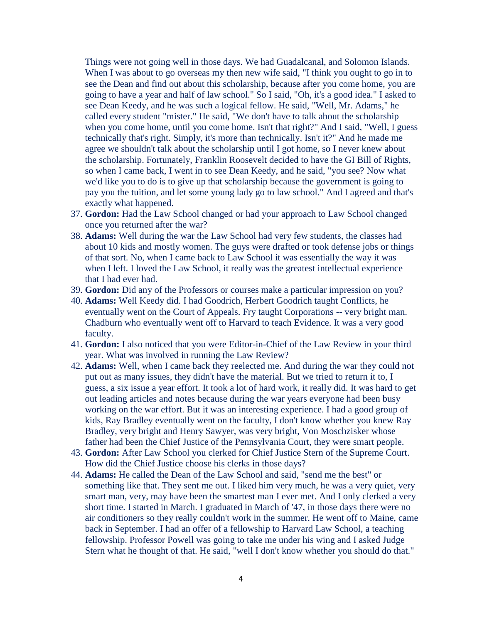Things were not going well in those days. We had Guadalcanal, and Solomon Islands. When I was about to go overseas my then new wife said, "I think you ought to go in to see the Dean and find out about this scholarship, because after you come home, you are going to have a year and half of law school." So I said, "Oh, it's a good idea." I asked to see Dean Keedy, and he was such a logical fellow. He said, "Well, Mr. Adams," he called every student "mister." He said, "We don't have to talk about the scholarship when you come home, until you come home. Isn't that right?" And I said, "Well, I guess technically that's right. Simply, it's more than technically. Isn't it?" And he made me agree we shouldn't talk about the scholarship until I got home, so I never knew about the scholarship. Fortunately, Franklin Roosevelt decided to have the GI Bill of Rights, so when I came back, I went in to see Dean Keedy, and he said, "you see? Now what we'd like you to do is to give up that scholarship because the government is going to pay you the tuition, and let some young lady go to law school." And I agreed and that's exactly what happened.

- 37. **Gordon:** Had the Law School changed or had your approach to Law School changed once you returned after the war?
- 38. **Adams:** Well during the war the Law School had very few students, the classes had about 10 kids and mostly women. The guys were drafted or took defense jobs or things of that sort. No, when I came back to Law School it was essentially the way it was when I left. I loved the Law School, it really was the greatest intellectual experience that I had ever had.
- 39. **Gordon:** Did any of the Professors or courses make a particular impression on you?
- 40. **Adams:** Well Keedy did. I had Goodrich, Herbert Goodrich taught Conflicts, he eventually went on the Court of Appeals. Fry taught Corporations -- very bright man. Chadburn who eventually went off to Harvard to teach Evidence. It was a very good faculty.
- 41. **Gordon:** I also noticed that you were Editor-in-Chief of the Law Review in your third year. What was involved in running the Law Review?
- 42. **Adams:** Well, when I came back they reelected me. And during the war they could not put out as many issues, they didn't have the material. But we tried to return it to, I guess, a six issue a year effort. It took a lot of hard work, it really did. It was hard to get out leading articles and notes because during the war years everyone had been busy working on the war effort. But it was an interesting experience. I had a good group of kids, Ray Bradley eventually went on the faculty, I don't know whether you knew Ray Bradley, very bright and Henry Sawyer, was very bright, Von Moschzisker whose father had been the Chief Justice of the Pennsylvania Court, they were smart people.
- 43. **Gordon:** After Law School you clerked for Chief Justice Stern of the Supreme Court. How did the Chief Justice choose his clerks in those days?
- 44. **Adams:** He called the Dean of the Law School and said, "send me the best" or something like that. They sent me out. I liked him very much, he was a very quiet, very smart man, very, may have been the smartest man I ever met. And I only clerked a very short time. I started in March. I graduated in March of '47, in those days there were no air conditioners so they really couldn't work in the summer. He went off to Maine, came back in September. I had an offer of a fellowship to Harvard Law School, a teaching fellowship. Professor Powell was going to take me under his wing and I asked Judge Stern what he thought of that. He said, "well I don't know whether you should do that."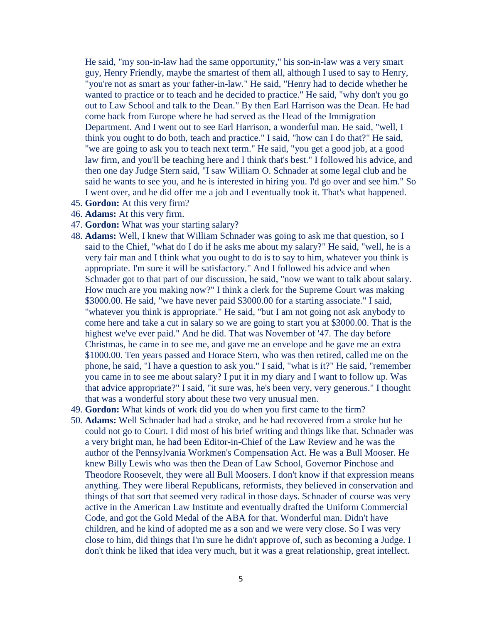He said, "my son-in-law had the same opportunity," his son-in-law was a very smart guy, Henry Friendly, maybe the smartest of them all, although I used to say to Henry, "you're not as smart as your father-in-law." He said, "Henry had to decide whether he wanted to practice or to teach and he decided to practice." He said, "why don't you go out to Law School and talk to the Dean." By then Earl Harrison was the Dean. He had come back from Europe where he had served as the Head of the Immigration Department. And I went out to see Earl Harrison, a wonderful man. He said, "well, I think you ought to do both, teach and practice." I said, "how can I do that?" He said, "we are going to ask you to teach next term." He said, "you get a good job, at a good law firm, and you'll be teaching here and I think that's best." I followed his advice, and then one day Judge Stern said, "I saw William O. Schnader at some legal club and he said he wants to see you, and he is interested in hiring you. I'd go over and see him." So I went over, and he did offer me a job and I eventually took it. That's what happened.

- 45. **Gordon:** At this very firm?
- 46. **Adams:** At this very firm.
- 47. **Gordon:** What was your starting salary?
- 48. **Adams:** Well, I knew that William Schnader was going to ask me that question, so I said to the Chief, "what do I do if he asks me about my salary?" He said, "well, he is a very fair man and I think what you ought to do is to say to him, whatever you think is appropriate. I'm sure it will be satisfactory." And I followed his advice and when Schnader got to that part of our discussion, he said, "now we want to talk about salary. How much are you making now?" I think a clerk for the Supreme Court was making \$3000.00. He said, "we have never paid \$3000.00 for a starting associate." I said, "whatever you think is appropriate." He said, "but I am not going not ask anybody to come here and take a cut in salary so we are going to start you at \$3000.00. That is the highest we've ever paid." And he did. That was November of '47. The day before Christmas, he came in to see me, and gave me an envelope and he gave me an extra \$1000.00. Ten years passed and Horace Stern, who was then retired, called me on the phone, he said, "I have a question to ask you." I said, "what is it?" He said, "remember you came in to see me about salary? I put it in my diary and I want to follow up. Was that advice appropriate?" I said, "it sure was, he's been very, very generous." I thought that was a wonderful story about these two very unusual men.
- 49. **Gordon:** What kinds of work did you do when you first came to the firm?
- 50. **Adams:** Well Schnader had had a stroke, and he had recovered from a stroke but he could not go to Court. I did most of his brief writing and things like that. Schnader was a very bright man, he had been Editor-in-Chief of the Law Review and he was the author of the Pennsylvania Workmen's Compensation Act. He was a Bull Mooser. He knew Billy Lewis who was then the Dean of Law School, Governor Pinchose and Theodore Roosevelt, they were all Bull Moosers. I don't know if that expression means anything. They were liberal Republicans, reformists, they believed in conservation and things of that sort that seemed very radical in those days. Schnader of course was very active in the American Law Institute and eventually drafted the Uniform Commercial Code, and got the Gold Medal of the ABA for that. Wonderful man. Didn't have children, and he kind of adopted me as a son and we were very close. So I was very close to him, did things that I'm sure he didn't approve of, such as becoming a Judge. I don't think he liked that idea very much, but it was a great relationship, great intellect.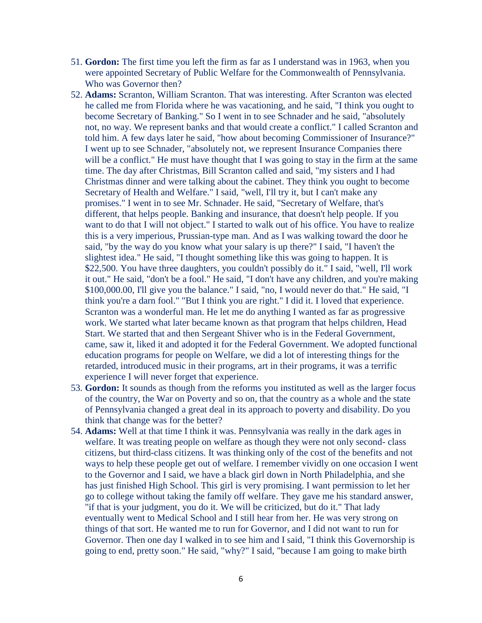- 51. **Gordon:** The first time you left the firm as far as I understand was in 1963, when you were appointed Secretary of Public Welfare for the Commonwealth of Pennsylvania. Who was Governor then?
- 52. **Adams:** Scranton, William Scranton. That was interesting. After Scranton was elected he called me from Florida where he was vacationing, and he said, "I think you ought to become Secretary of Banking." So I went in to see Schnader and he said, "absolutely not, no way. We represent banks and that would create a conflict." I called Scranton and told him. A few days later he said, "how about becoming Commissioner of Insurance?" I went up to see Schnader, "absolutely not, we represent Insurance Companies there will be a conflict." He must have thought that I was going to stay in the firm at the same time. The day after Christmas, Bill Scranton called and said, "my sisters and I had Christmas dinner and were talking about the cabinet. They think you ought to become Secretary of Health and Welfare." I said, "well, I'll try it, but I can't make any promises." I went in to see Mr. Schnader. He said, "Secretary of Welfare, that's different, that helps people. Banking and insurance, that doesn't help people. If you want to do that I will not object." I started to walk out of his office. You have to realize this is a very imperious, Prussian-type man. And as I was walking toward the door he said, "by the way do you know what your salary is up there?" I said, "I haven't the slightest idea." He said, "I thought something like this was going to happen. It is \$22,500. You have three daughters, you couldn't possibly do it." I said, "well, I'll work it out." He said, "don't be a fool." He said, "I don't have any children, and you're making \$100,000.00, I'll give you the balance." I said, "no, I would never do that." He said, "I think you're a darn fool." "But I think you are right." I did it. I loved that experience. Scranton was a wonderful man. He let me do anything I wanted as far as progressive work. We started what later became known as that program that helps children, Head Start. We started that and then Sergeant Shiver who is in the Federal Government, came, saw it, liked it and adopted it for the Federal Government. We adopted functional education programs for people on Welfare, we did a lot of interesting things for the retarded, introduced music in their programs, art in their programs, it was a terrific experience I will never forget that experience.
- 53. **Gordon:** It sounds as though from the reforms you instituted as well as the larger focus of the country, the War on Poverty and so on, that the country as a whole and the state of Pennsylvania changed a great deal in its approach to poverty and disability. Do you think that change was for the better?
- 54. **Adams:** Well at that time I think it was. Pennsylvania was really in the dark ages in welfare. It was treating people on welfare as though they were not only second- class citizens, but third-class citizens. It was thinking only of the cost of the benefits and not ways to help these people get out of welfare. I remember vividly on one occasion I went to the Governor and I said, we have a black girl down in North Philadelphia, and she has just finished High School. This girl is very promising. I want permission to let her go to college without taking the family off welfare. They gave me his standard answer, "if that is your judgment, you do it. We will be criticized, but do it." That lady eventually went to Medical School and I still hear from her. He was very strong on things of that sort. He wanted me to run for Governor, and I did not want to run for Governor. Then one day I walked in to see him and I said, "I think this Governorship is going to end, pretty soon." He said, "why?" I said, "because I am going to make birth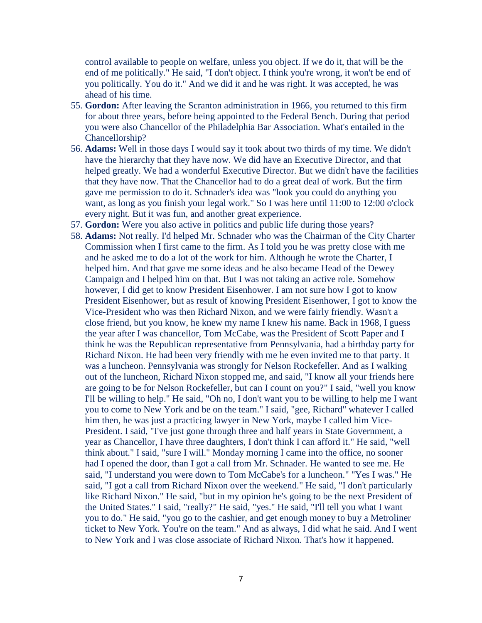control available to people on welfare, unless you object. If we do it, that will be the end of me politically." He said, "I don't object. I think you're wrong, it won't be end of you politically. You do it." And we did it and he was right. It was accepted, he was ahead of his time.

- 55. **Gordon:** After leaving the Scranton administration in 1966, you returned to this firm for about three years, before being appointed to the Federal Bench. During that period you were also Chancellor of the Philadelphia Bar Association. What's entailed in the Chancellorship?
- 56. **Adams:** Well in those days I would say it took about two thirds of my time. We didn't have the hierarchy that they have now. We did have an Executive Director, and that helped greatly. We had a wonderful Executive Director. But we didn't have the facilities that they have now. That the Chancellor had to do a great deal of work. But the firm gave me permission to do it. Schnader's idea was "look you could do anything you want, as long as you finish your legal work." So I was here until 11:00 to 12:00 o'clock every night. But it was fun, and another great experience.
- 57. **Gordon:** Were you also active in politics and public life during those years?
- 58. **Adams:** Not really. I'd helped Mr. Schnader who was the Chairman of the City Charter Commission when I first came to the firm. As I told you he was pretty close with me and he asked me to do a lot of the work for him. Although he wrote the Charter, I helped him. And that gave me some ideas and he also became Head of the Dewey Campaign and I helped him on that. But I was not taking an active role. Somehow however, I did get to know President Eisenhower. I am not sure how I got to know President Eisenhower, but as result of knowing President Eisenhower, I got to know the Vice-President who was then Richard Nixon, and we were fairly friendly. Wasn't a close friend, but you know, he knew my name I knew his name. Back in 1968, I guess the year after I was chancellor, Tom McCabe, was the President of Scott Paper and I think he was the Republican representative from Pennsylvania, had a birthday party for Richard Nixon. He had been very friendly with me he even invited me to that party. It was a luncheon. Pennsylvania was strongly for Nelson Rockefeller. And as I walking out of the luncheon, Richard Nixon stopped me, and said, "I know all your friends here are going to be for Nelson Rockefeller, but can I count on you?" I said, "well you know I'll be willing to help." He said, "Oh no, I don't want you to be willing to help me I want you to come to New York and be on the team." I said, "gee, Richard" whatever I called him then, he was just a practicing lawyer in New York, maybe I called him Vice-President. I said, "I've just gone through three and half years in State Government, a year as Chancellor, I have three daughters, I don't think I can afford it." He said, "well think about." I said, "sure I will." Monday morning I came into the office, no sooner had I opened the door, than I got a call from Mr. Schnader. He wanted to see me. He said, "I understand you were down to Tom McCabe's for a luncheon." "Yes I was." He said, "I got a call from Richard Nixon over the weekend." He said, "I don't particularly like Richard Nixon." He said, "but in my opinion he's going to be the next President of the United States." I said, "really?" He said, "yes." He said, "I'll tell you what I want you to do." He said, "you go to the cashier, and get enough money to buy a Metroliner ticket to New York. You're on the team." And as always, I did what he said. And I went to New York and I was close associate of Richard Nixon. That's how it happened.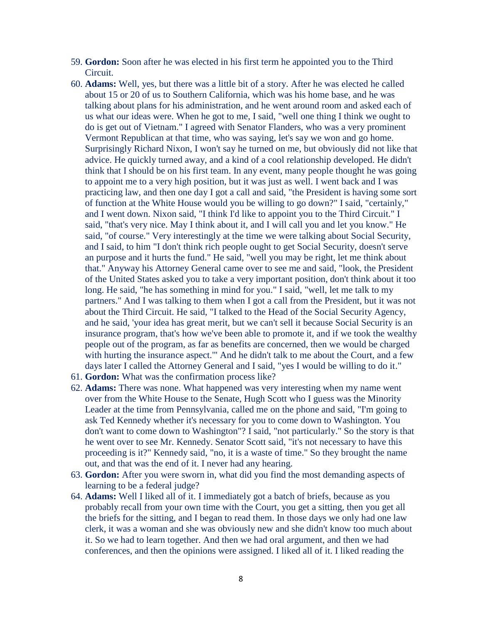- 59. **Gordon:** Soon after he was elected in his first term he appointed you to the Third Circuit.
- 60. **Adams:** Well, yes, but there was a little bit of a story. After he was elected he called about 15 or 20 of us to Southern California, which was his home base, and he was talking about plans for his administration, and he went around room and asked each of us what our ideas were. When he got to me, I said, "well one thing I think we ought to do is get out of Vietnam." I agreed with Senator Flanders, who was a very prominent Vermont Republican at that time, who was saying, let's say we won and go home. Surprisingly Richard Nixon, I won't say he turned on me, but obviously did not like that advice. He quickly turned away, and a kind of a cool relationship developed. He didn't think that I should be on his first team. In any event, many people thought he was going to appoint me to a very high position, but it was just as well. I went back and I was practicing law, and then one day I got a call and said, "the President is having some sort of function at the White House would you be willing to go down?" I said, "certainly," and I went down. Nixon said, "I think I'd like to appoint you to the Third Circuit." I said, "that's very nice. May I think about it, and I will call you and let you know." He said, "of course." Very interestingly at the time we were talking about Social Security, and I said, to him "I don't think rich people ought to get Social Security, doesn't serve an purpose and it hurts the fund." He said, "well you may be right, let me think about that." Anyway his Attorney General came over to see me and said, "look, the President of the United States asked you to take a very important position, don't think about it too long. He said, "he has something in mind for you." I said, "well, let me talk to my partners." And I was talking to them when I got a call from the President, but it was not about the Third Circuit. He said, "I talked to the Head of the Social Security Agency, and he said, 'your idea has great merit, but we can't sell it because Social Security is an insurance program, that's how we've been able to promote it, and if we took the wealthy people out of the program, as far as benefits are concerned, then we would be charged with hurting the insurance aspect." And he didn't talk to me about the Court, and a few days later I called the Attorney General and I said, "yes I would be willing to do it."
- 61. **Gordon:** What was the confirmation process like?
- 62. **Adams:** There was none. What happened was very interesting when my name went over from the White House to the Senate, Hugh Scott who I guess was the Minority Leader at the time from Pennsylvania, called me on the phone and said, "I'm going to ask Ted Kennedy whether it's necessary for you to come down to Washington. You don't want to come down to Washington"? I said, "not particularly." So the story is that he went over to see Mr. Kennedy. Senator Scott said, "it's not necessary to have this proceeding is it?" Kennedy said, "no, it is a waste of time." So they brought the name out, and that was the end of it. I never had any hearing.
- 63. **Gordon:** After you were sworn in, what did you find the most demanding aspects of learning to be a federal judge?
- 64. **Adams:** Well I liked all of it. I immediately got a batch of briefs, because as you probably recall from your own time with the Court, you get a sitting, then you get all the briefs for the sitting, and I began to read them. In those days we only had one law clerk, it was a woman and she was obviously new and she didn't know too much about it. So we had to learn together. And then we had oral argument, and then we had conferences, and then the opinions were assigned. I liked all of it. I liked reading the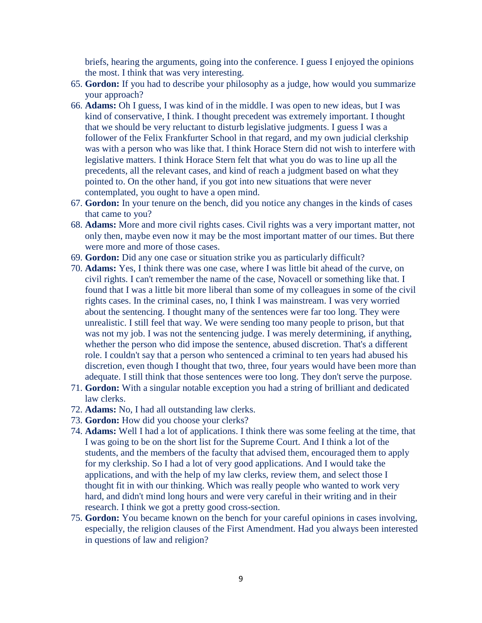briefs, hearing the arguments, going into the conference. I guess I enjoyed the opinions the most. I think that was very interesting.

- 65. **Gordon:** If you had to describe your philosophy as a judge, how would you summarize your approach?
- 66. **Adams:** Oh I guess, I was kind of in the middle. I was open to new ideas, but I was kind of conservative, I think. I thought precedent was extremely important. I thought that we should be very reluctant to disturb legislative judgments. I guess I was a follower of the Felix Frankfurter School in that regard, and my own judicial clerkship was with a person who was like that. I think Horace Stern did not wish to interfere with legislative matters. I think Horace Stern felt that what you do was to line up all the precedents, all the relevant cases, and kind of reach a judgment based on what they pointed to. On the other hand, if you got into new situations that were never contemplated, you ought to have a open mind.
- 67. **Gordon:** In your tenure on the bench, did you notice any changes in the kinds of cases that came to you?
- 68. **Adams:** More and more civil rights cases. Civil rights was a very important matter, not only then, maybe even now it may be the most important matter of our times. But there were more and more of those cases.
- 69. **Gordon:** Did any one case or situation strike you as particularly difficult?
- 70. **Adams:** Yes, I think there was one case, where I was little bit ahead of the curve, on civil rights. I can't remember the name of the case, Novacell or something like that. I found that I was a little bit more liberal than some of my colleagues in some of the civil rights cases. In the criminal cases, no, I think I was mainstream. I was very worried about the sentencing. I thought many of the sentences were far too long. They were unrealistic. I still feel that way. We were sending too many people to prison, but that was not my job. I was not the sentencing judge. I was merely determining, if anything, whether the person who did impose the sentence, abused discretion. That's a different role. I couldn't say that a person who sentenced a criminal to ten years had abused his discretion, even though I thought that two, three, four years would have been more than adequate. I still think that those sentences were too long. They don't serve the purpose.
- 71. **Gordon:** With a singular notable exception you had a string of brilliant and dedicated law clerks.
- 72. **Adams:** No, I had all outstanding law clerks.
- 73. **Gordon:** How did you choose your clerks?
- 74. **Adams:** Well I had a lot of applications. I think there was some feeling at the time, that I was going to be on the short list for the Supreme Court. And I think a lot of the students, and the members of the faculty that advised them, encouraged them to apply for my clerkship. So I had a lot of very good applications. And I would take the applications, and with the help of my law clerks, review them, and select those I thought fit in with our thinking. Which was really people who wanted to work very hard, and didn't mind long hours and were very careful in their writing and in their research. I think we got a pretty good cross-section.
- 75. **Gordon:** You became known on the bench for your careful opinions in cases involving, especially, the religion clauses of the First Amendment. Had you always been interested in questions of law and religion?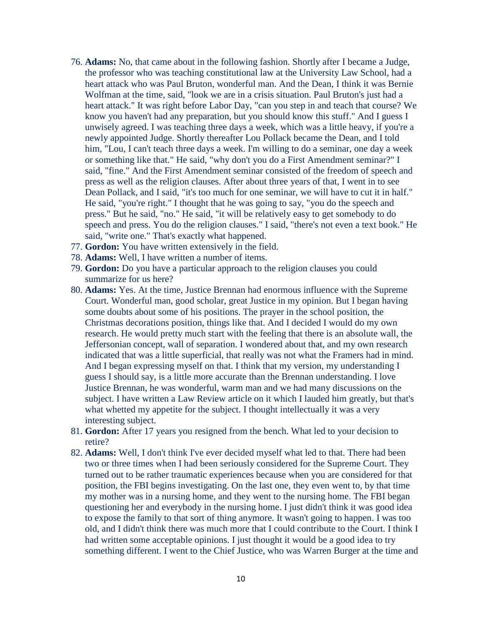- 76. **Adams:** No, that came about in the following fashion. Shortly after I became a Judge, the professor who was teaching constitutional law at the University Law School, had a heart attack who was Paul Bruton, wonderful man. And the Dean, I think it was Bernie Wolfman at the time, said, "look we are in a crisis situation. Paul Bruton's just had a heart attack." It was right before Labor Day, "can you step in and teach that course? We know you haven't had any preparation, but you should know this stuff." And I guess I unwisely agreed. I was teaching three days a week, which was a little heavy, if you're a newly appointed Judge. Shortly thereafter Lou Pollack became the Dean, and I told him, "Lou, I can't teach three days a week. I'm willing to do a seminar, one day a week or something like that." He said, "why don't you do a First Amendment seminar?" I said, "fine." And the First Amendment seminar consisted of the freedom of speech and press as well as the religion clauses. After about three years of that, I went in to see Dean Pollack, and I said, "it's too much for one seminar, we will have to cut it in half." He said, "you're right." I thought that he was going to say, "you do the speech and press." But he said, "no." He said, "it will be relatively easy to get somebody to do speech and press. You do the religion clauses." I said, "there's not even a text book." He said, "write one." That's exactly what happened.
- 77. **Gordon:** You have written extensively in the field.
- 78. **Adams:** Well, I have written a number of items.
- 79. **Gordon:** Do you have a particular approach to the religion clauses you could summarize for us here?
- 80. **Adams:** Yes. At the time, Justice Brennan had enormous influence with the Supreme Court. Wonderful man, good scholar, great Justice in my opinion. But I began having some doubts about some of his positions. The prayer in the school position, the Christmas decorations position, things like that. And I decided I would do my own research. He would pretty much start with the feeling that there is an absolute wall, the Jeffersonian concept, wall of separation. I wondered about that, and my own research indicated that was a little superficial, that really was not what the Framers had in mind. And I began expressing myself on that. I think that my version, my understanding I guess I should say, is a little more accurate than the Brennan understanding. I love Justice Brennan, he was wonderful, warm man and we had many discussions on the subject. I have written a Law Review article on it which I lauded him greatly, but that's what whetted my appetite for the subject. I thought intellectually it was a very interesting subject.
- 81. **Gordon:** After 17 years you resigned from the bench. What led to your decision to retire?
- 82. **Adams:** Well, I don't think I've ever decided myself what led to that. There had been two or three times when I had been seriously considered for the Supreme Court. They turned out to be rather traumatic experiences because when you are considered for that position, the FBI begins investigating. On the last one, they even went to, by that time my mother was in a nursing home, and they went to the nursing home. The FBI began questioning her and everybody in the nursing home. I just didn't think it was good idea to expose the family to that sort of thing anymore. It wasn't going to happen. I was too old, and I didn't think there was much more that I could contribute to the Court. I think I had written some acceptable opinions. I just thought it would be a good idea to try something different. I went to the Chief Justice, who was Warren Burger at the time and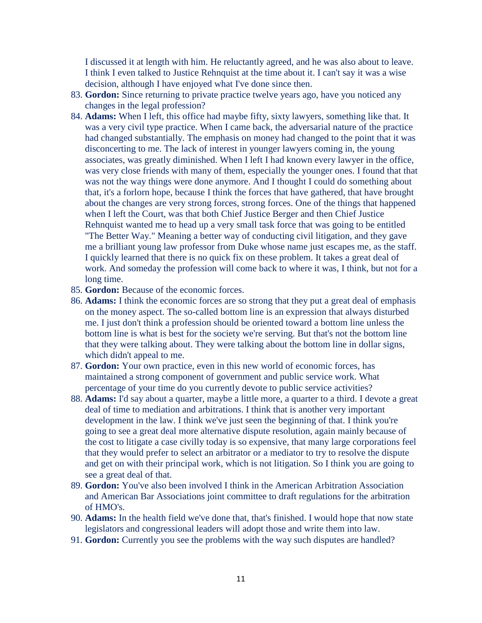I discussed it at length with him. He reluctantly agreed, and he was also about to leave. I think I even talked to Justice Rehnquist at the time about it. I can't say it was a wise decision, although I have enjoyed what I've done since then.

- 83. **Gordon:** Since returning to private practice twelve years ago, have you noticed any changes in the legal profession?
- 84. **Adams:** When I left, this office had maybe fifty, sixty lawyers, something like that. It was a very civil type practice. When I came back, the adversarial nature of the practice had changed substantially. The emphasis on money had changed to the point that it was disconcerting to me. The lack of interest in younger lawyers coming in, the young associates, was greatly diminished. When I left I had known every lawyer in the office, was very close friends with many of them, especially the younger ones. I found that that was not the way things were done anymore. And I thought I could do something about that, it's a forlorn hope, because I think the forces that have gathered, that have brought about the changes are very strong forces, strong forces. One of the things that happened when I left the Court, was that both Chief Justice Berger and then Chief Justice Rehnquist wanted me to head up a very small task force that was going to be entitled "The Better Way." Meaning a better way of conducting civil litigation, and they gave me a brilliant young law professor from Duke whose name just escapes me, as the staff. I quickly learned that there is no quick fix on these problem. It takes a great deal of work. And someday the profession will come back to where it was, I think, but not for a long time.
- 85. **Gordon:** Because of the economic forces.
- 86. **Adams:** I think the economic forces are so strong that they put a great deal of emphasis on the money aspect. The so-called bottom line is an expression that always disturbed me. I just don't think a profession should be oriented toward a bottom line unless the bottom line is what is best for the society we're serving. But that's not the bottom line that they were talking about. They were talking about the bottom line in dollar signs, which didn't appeal to me.
- 87. **Gordon:** Your own practice, even in this new world of economic forces, has maintained a strong component of government and public service work. What percentage of your time do you currently devote to public service activities?
- 88. **Adams:** I'd say about a quarter, maybe a little more, a quarter to a third. I devote a great deal of time to mediation and arbitrations. I think that is another very important development in the law. I think we've just seen the beginning of that. I think you're going to see a great deal more alternative dispute resolution, again mainly because of the cost to litigate a case civilly today is so expensive, that many large corporations feel that they would prefer to select an arbitrator or a mediator to try to resolve the dispute and get on with their principal work, which is not litigation. So I think you are going to see a great deal of that.
- 89. **Gordon:** You've also been involved I think in the American Arbitration Association and American Bar Associations joint committee to draft regulations for the arbitration of HMO's.
- 90. **Adams:** In the health field we've done that, that's finished. I would hope that now state legislators and congressional leaders will adopt those and write them into law.
- 91. **Gordon:** Currently you see the problems with the way such disputes are handled?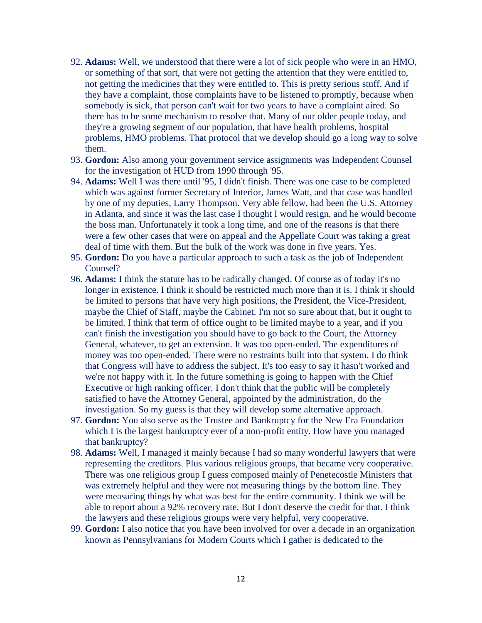- 92. **Adams:** Well, we understood that there were a lot of sick people who were in an HMO, or something of that sort, that were not getting the attention that they were entitled to, not getting the medicines that they were entitled to. This is pretty serious stuff. And if they have a complaint, those complaints have to be listened to promptly, because when somebody is sick, that person can't wait for two years to have a complaint aired. So there has to be some mechanism to resolve that. Many of our older people today, and they're a growing segment of our population, that have health problems, hospital problems, HMO problems. That protocol that we develop should go a long way to solve them.
- 93. **Gordon:** Also among your government service assignments was Independent Counsel for the investigation of HUD from 1990 through '95.
- 94. **Adams:** Well I was there until '95, I didn't finish. There was one case to be completed which was against former Secretary of Interior, James Watt, and that case was handled by one of my deputies, Larry Thompson. Very able fellow, had been the U.S. Attorney in Atlanta, and since it was the last case I thought I would resign, and he would become the boss man. Unfortunately it took a long time, and one of the reasons is that there were a few other cases that were on appeal and the Appellate Court was taking a great deal of time with them. But the bulk of the work was done in five years. Yes.
- 95. **Gordon:** Do you have a particular approach to such a task as the job of Independent Counsel?
- 96. **Adams:** I think the statute has to be radically changed. Of course as of today it's no longer in existence. I think it should be restricted much more than it is. I think it should be limited to persons that have very high positions, the President, the Vice-President, maybe the Chief of Staff, maybe the Cabinet. I'm not so sure about that, but it ought to be limited. I think that term of office ought to be limited maybe to a year, and if you can't finish the investigation you should have to go back to the Court, the Attorney General, whatever, to get an extension. It was too open-ended. The expenditures of money was too open-ended. There were no restraints built into that system. I do think that Congress will have to address the subject. It's too easy to say it hasn't worked and we're not happy with it. In the future something is going to happen with the Chief Executive or high ranking officer. I don't think that the public will be completely satisfied to have the Attorney General, appointed by the administration, do the investigation. So my guess is that they will develop some alternative approach.
- 97. **Gordon:** You also serve as the Trustee and Bankruptcy for the New Era Foundation which I is the largest bankruptcy ever of a non-profit entity. How have you managed that bankruptcy?
- 98. **Adams:** Well, I managed it mainly because I had so many wonderful lawyers that were representing the creditors. Plus various religious groups, that became very cooperative. There was one religious group I guess composed mainly of Penetecostle Ministers that was extremely helpful and they were not measuring things by the bottom line. They were measuring things by what was best for the entire community. I think we will be able to report about a 92% recovery rate. But I don't deserve the credit for that. I think the lawyers and these religious groups were very helpful, very cooperative.
- 99. **Gordon:** I also notice that you have been involved for over a decade in an organization known as Pennsylvanians for Modern Courts which I gather is dedicated to the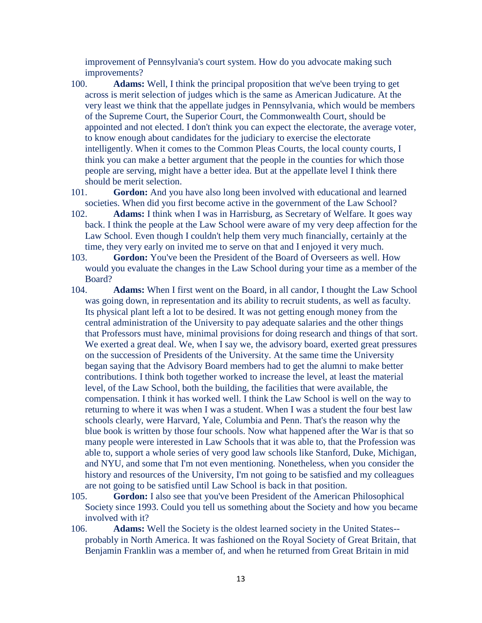improvement of Pennsylvania's court system. How do you advocate making such improvements?

- 100. **Adams:** Well, I think the principal proposition that we've been trying to get across is merit selection of judges which is the same as American Judicature. At the very least we think that the appellate judges in Pennsylvania, which would be members of the Supreme Court, the Superior Court, the Commonwealth Court, should be appointed and not elected. I don't think you can expect the electorate, the average voter, to know enough about candidates for the judiciary to exercise the electorate intelligently. When it comes to the Common Pleas Courts, the local county courts, I think you can make a better argument that the people in the counties for which those people are serving, might have a better idea. But at the appellate level I think there should be merit selection.
- 101. **Gordon:** And you have also long been involved with educational and learned societies. When did you first become active in the government of the Law School?
- 102. **Adams:** I think when I was in Harrisburg, as Secretary of Welfare. It goes way back. I think the people at the Law School were aware of my very deep affection for the Law School. Even though I couldn't help them very much financially, certainly at the time, they very early on invited me to serve on that and I enjoyed it very much.
- 103. **Gordon:** You've been the President of the Board of Overseers as well. How would you evaluate the changes in the Law School during your time as a member of the Board?
- 104. **Adams:** When I first went on the Board, in all candor, I thought the Law School was going down, in representation and its ability to recruit students, as well as faculty. Its physical plant left a lot to be desired. It was not getting enough money from the central administration of the University to pay adequate salaries and the other things that Professors must have, minimal provisions for doing research and things of that sort. We exerted a great deal. We, when I say we, the advisory board, exerted great pressures on the succession of Presidents of the University. At the same time the University began saying that the Advisory Board members had to get the alumni to make better contributions. I think both together worked to increase the level, at least the material level, of the Law School, both the building, the facilities that were available, the compensation. I think it has worked well. I think the Law School is well on the way to returning to where it was when I was a student. When I was a student the four best law schools clearly, were Harvard, Yale, Columbia and Penn. That's the reason why the blue book is written by those four schools. Now what happened after the War is that so many people were interested in Law Schools that it was able to, that the Profession was able to, support a whole series of very good law schools like Stanford, Duke, Michigan, and NYU, and some that I'm not even mentioning. Nonetheless, when you consider the history and resources of the University, I'm not going to be satisfied and my colleagues are not going to be satisfied until Law School is back in that position.
- 105. **Gordon:** I also see that you've been President of the American Philosophical Society since 1993. Could you tell us something about the Society and how you became involved with it?
- 106. **Adams:** Well the Society is the oldest learned society in the United States- probably in North America. It was fashioned on the Royal Society of Great Britain, that Benjamin Franklin was a member of, and when he returned from Great Britain in mid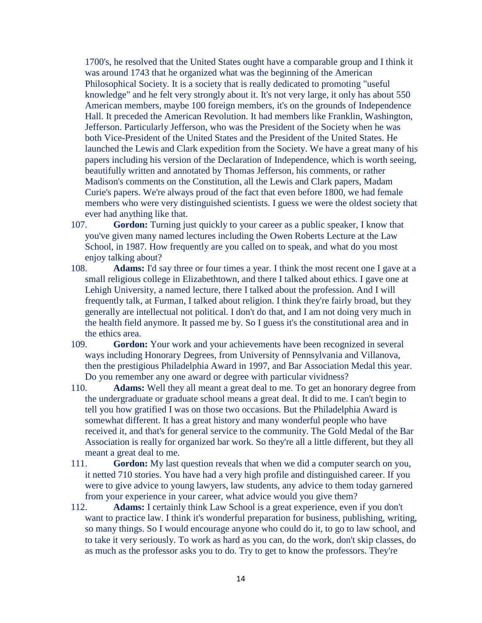1700's, he resolved that the United States ought have a comparable group and I think it was around 1743 that he organized what was the beginning of the American Philosophical Society. It is a society that is really dedicated to promoting "useful knowledge" and he felt very strongly about it. It's not very large, it only has about 550 American members, maybe 100 foreign members, it's on the grounds of Independence Hall. It preceded the American Revolution. It had members like Franklin, Washington, Jefferson. Particularly Jefferson, who was the President of the Society when he was both Vice-President of the United States and the President of the United States. He launched the Lewis and Clark expedition from the Society. We have a great many of his papers including his version of the Declaration of Independence, which is worth seeing, beautifully written and annotated by Thomas Jefferson, his comments, or rather Madison's comments on the Constitution, all the Lewis and Clark papers, Madam Curie's papers. We're always proud of the fact that even before 1800, we had female members who were very distinguished scientists. I guess we were the oldest society that ever had anything like that.

- 107. **Gordon:** Turning just quickly to your career as a public speaker, I know that you've given many named lectures including the Owen Roberts Lecture at the Law School, in 1987. How frequently are you called on to speak, and what do you most enjoy talking about?
- 108. **Adams:** I'd say three or four times a year. I think the most recent one I gave at a small religious college in Elizabethtown, and there I talked about ethics. I gave one at Lehigh University, a named lecture, there I talked about the profession. And I will frequently talk, at Furman, I talked about religion. I think they're fairly broad, but they generally are intellectual not political. I don't do that, and I am not doing very much in the health field anymore. It passed me by. So I guess it's the constitutional area and in the ethics area.
- 109. **Gordon:** Your work and your achievements have been recognized in several ways including Honorary Degrees, from University of Pennsylvania and Villanova, then the prestigious Philadelphia Award in 1997, and Bar Association Medal this year. Do you remember any one award or degree with particular vividness?
- 110. **Adams:** Well they all meant a great deal to me. To get an honorary degree from the undergraduate or graduate school means a great deal. It did to me. I can't begin to tell you how gratified I was on those two occasions. But the Philadelphia Award is somewhat different. It has a great history and many wonderful people who have received it, and that's for general service to the community. The Gold Medal of the Bar Association is really for organized bar work. So they're all a little different, but they all meant a great deal to me.
- 111. **Gordon:** My last question reveals that when we did a computer search on you, it netted 710 stories. You have had a very high profile and distinguished career. If you were to give advice to young lawyers, law students, any advice to them today garnered from your experience in your career, what advice would you give them?
- 112. **Adams:** I certainly think Law School is a great experience, even if you don't want to practice law. I think it's wonderful preparation for business, publishing, writing, so many things. So I would encourage anyone who could do it, to go to law school, and to take it very seriously. To work as hard as you can, do the work, don't skip classes, do as much as the professor asks you to do. Try to get to know the professors. They're